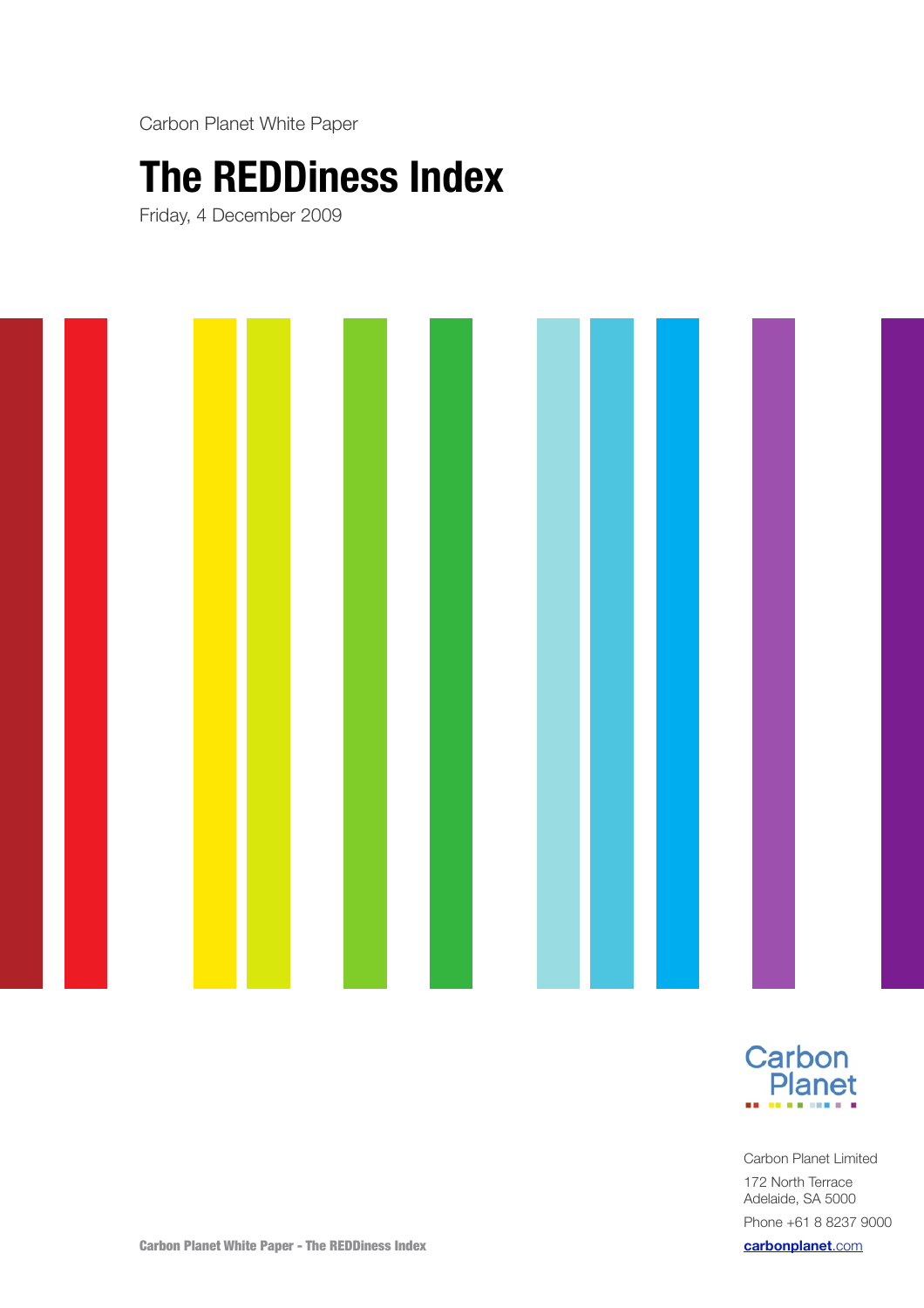Carbon Planet White Paper

# **The REDDiness Index**

Friday, 4 December 2009





Carbon Planet Limited 172 North Terrace Adelaide, SA 5000 Phone +61 8 8237 9000 **[carbonplanet](http://carbonplanet.com)**.com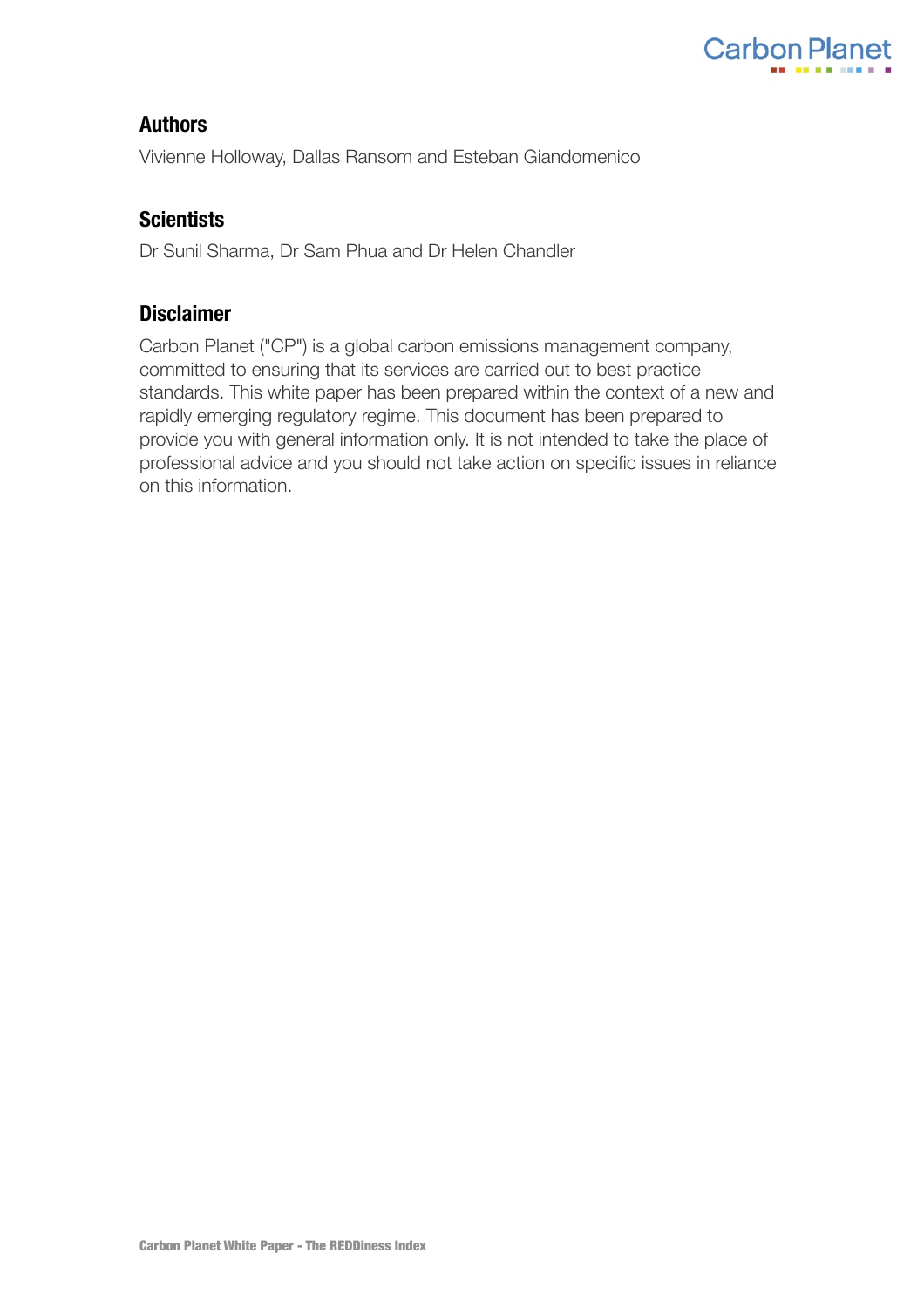

## **Authors**

Vivienne Holloway, Dallas Ransom and Esteban Giandomenico

# **Scientists**

Dr Sunil Sharma, Dr Sam Phua and Dr Helen Chandler

# **Disclaimer**

Carbon Planet ("CP") is a global carbon emissions management company, committed to ensuring that its services are carried out to best practice standards. This white paper has been prepared within the context of a new and rapidly emerging regulatory regime. This document has been prepared to provide you with general information only. It is not intended to take the place of professional advice and you should not take action on specific issues in reliance on this information.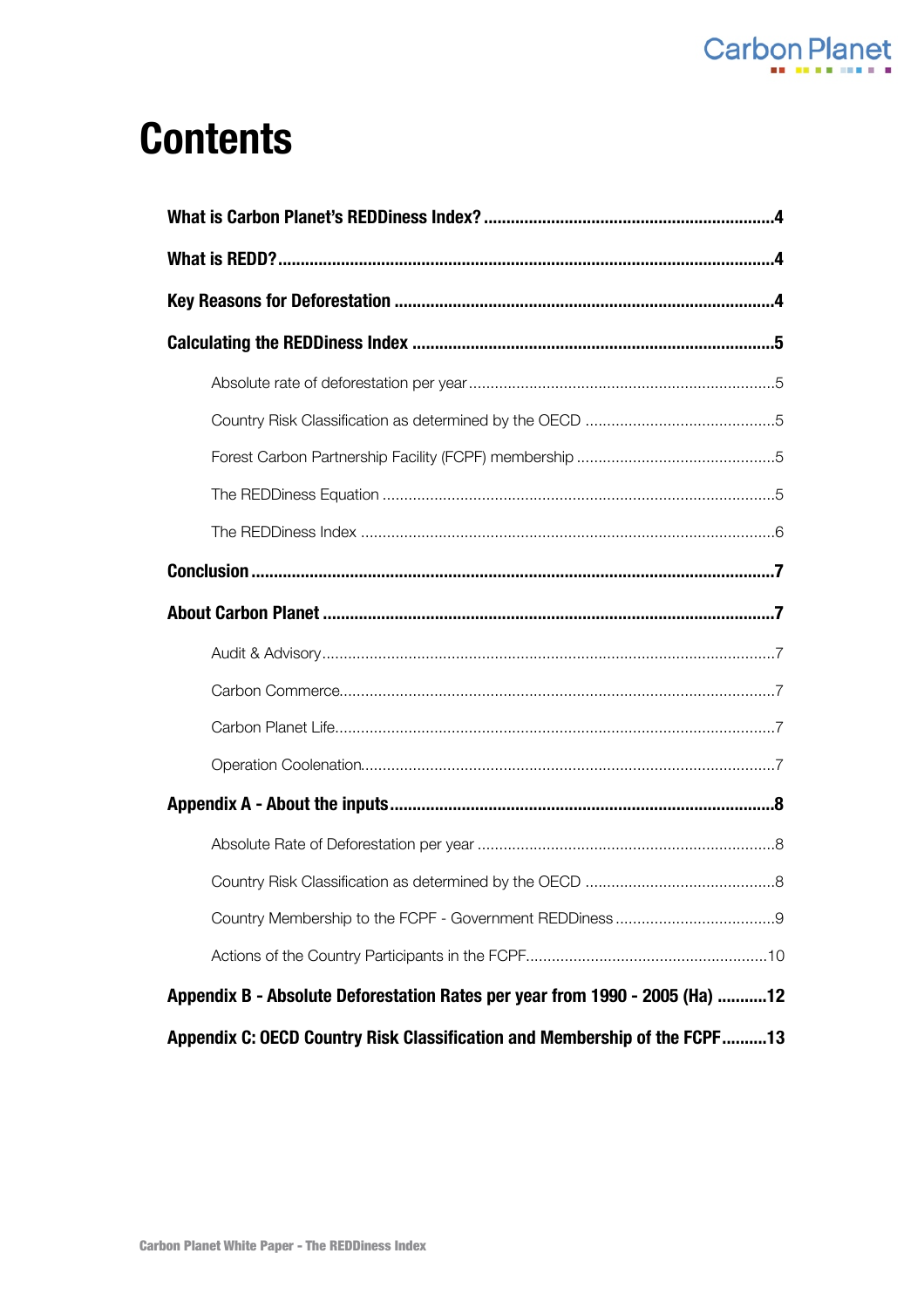

# **Contents**

| Appendix B - Absolute Deforestation Rates per year from 1990 - 2005 (Ha) 12 |  |  |
|-----------------------------------------------------------------------------|--|--|
| Appendix C: OECD Country Risk Classification and Membership of the FCPF13   |  |  |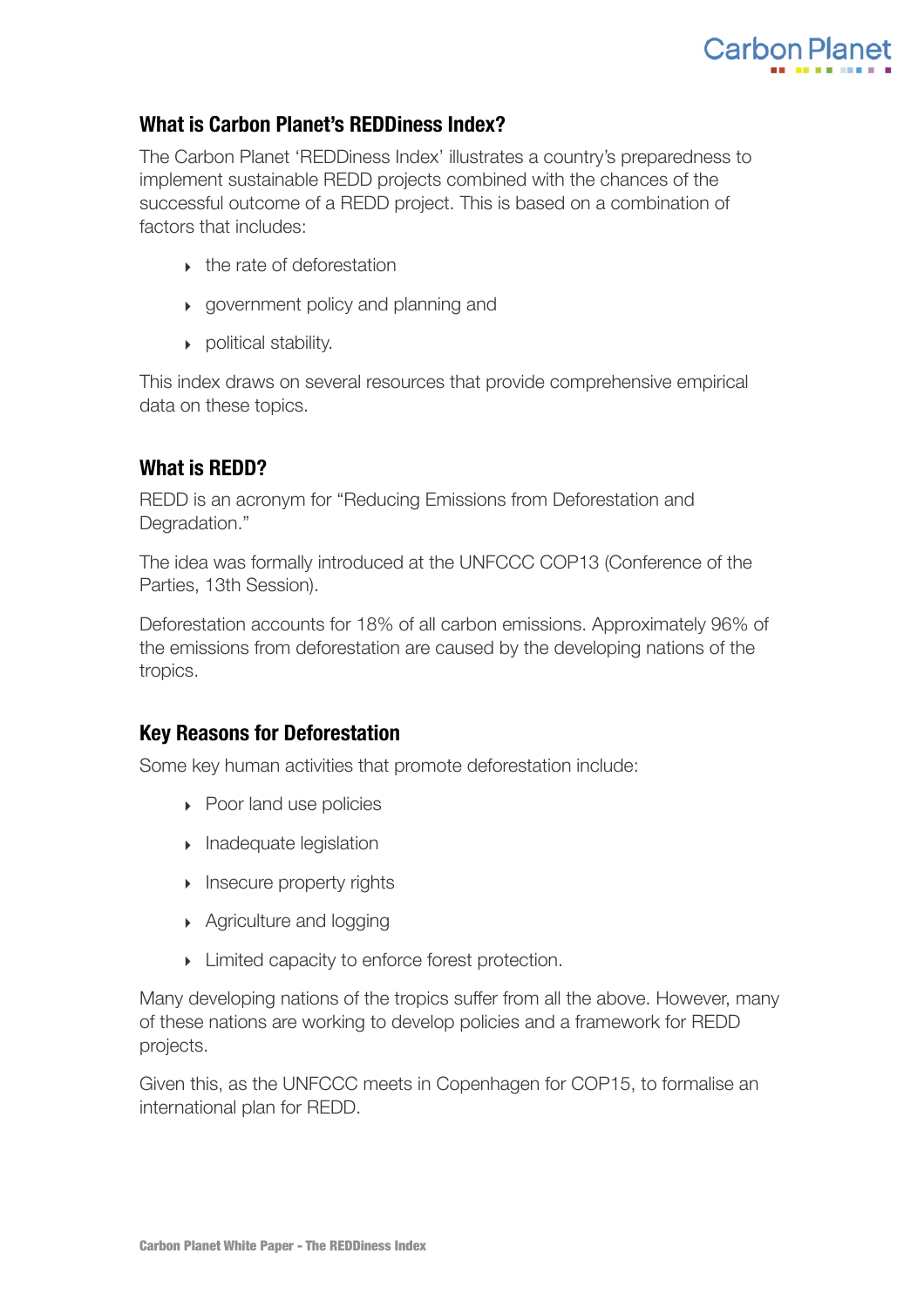

## <span id="page-3-0"></span>**What is Carbon Planet's REDDiness Index?**

The Carbon Planet 'REDDiness Index' illustrates a country's preparedness to implement sustainable REDD projects combined with the chances of the successful outcome of a REDD project. This is based on a combination of factors that includes:

- ‣ the rate of deforestation
- ‣ government policy and planning and
- ‣ political stability.

This index draws on several resources that provide comprehensive empirical data on these topics.

# <span id="page-3-1"></span>**What is REDD?**

REDD is an acronym for "Reducing Emissions from Deforestation and Degradation."

The idea was formally introduced at the UNFCCC COP13 (Conference of the Parties, 13th Session).

Deforestation accounts for 18% of all carbon emissions. Approximately 96% of the emissions from deforestation are caused by the developing nations of the tropics.

## <span id="page-3-2"></span>**Key Reasons for Deforestation**

Some key human activities that promote deforestation include:

- ▶ Poor land use policies
- ‣ Inadequate legislation
- **Insecure property rights**
- ▶ Agriculture and logging
- ‣ Limited capacity to enforce forest protection.

Many developing nations of the tropics suffer from all the above. However, many of these nations are working to develop policies and a framework for REDD projects.

Given this, as the UNFCCC meets in Copenhagen for COP15, to formalise an international plan for REDD.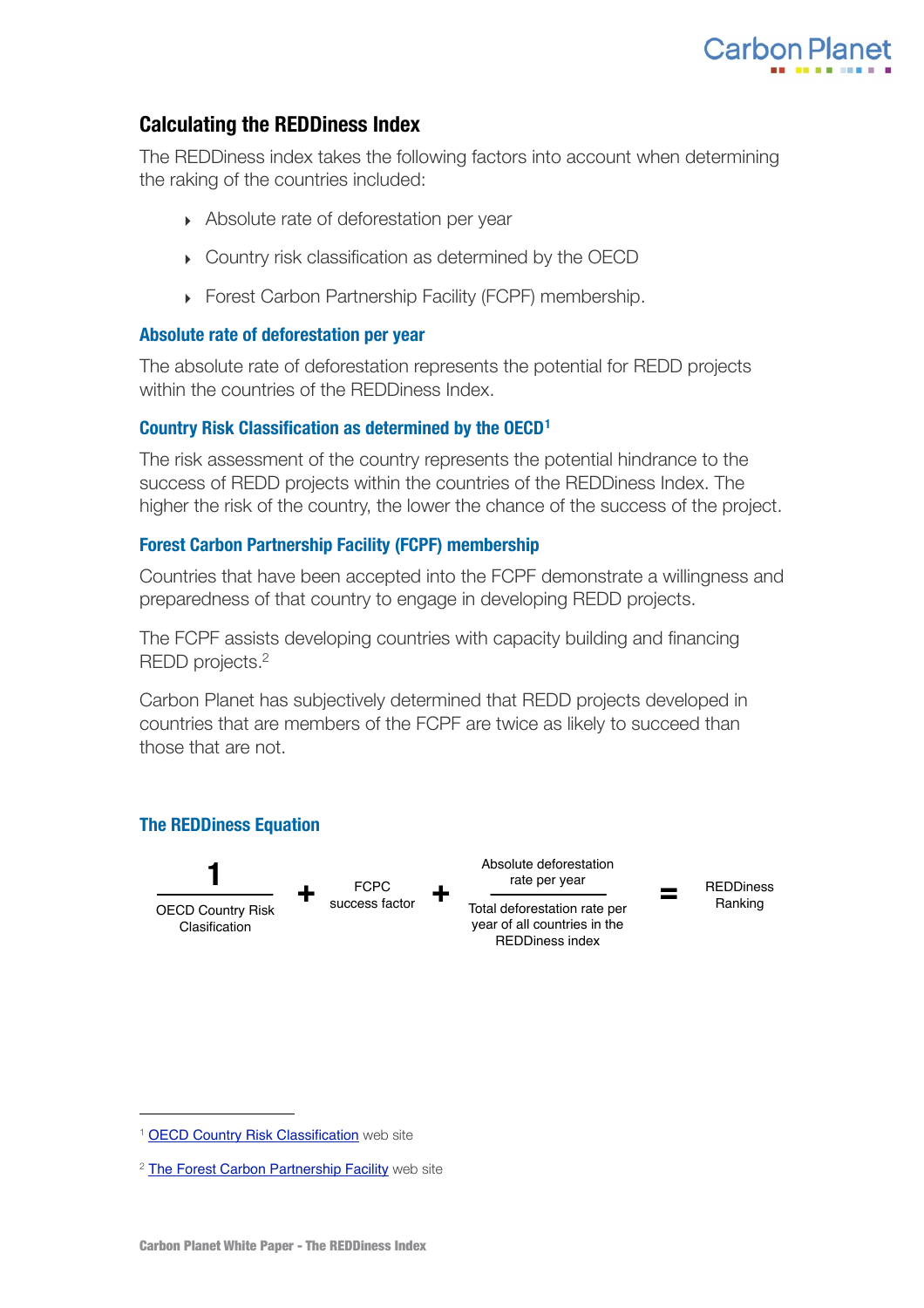

## <span id="page-4-0"></span>**Calculating the REDDiness Index**

The REDDiness index takes the following factors into account when determining the raking of the countries included:

- ‣ Absolute rate of deforestation per year
- ‣ Country risk classification as determined by the OECD
- ‣ Forest Carbon Partnership Facility (FCPF) membership.

#### <span id="page-4-1"></span>**Absolute rate of deforestation per year**

The absolute rate of deforestation represents the potential for REDD projects within the countries of the REDDiness Index.

## <span id="page-4-2"></span>**Country Risk Classification as determined by the OECD[1](#page-4-5)**

The risk assessment of the country represents the potential hindrance to the success of REDD projects within the countries of the REDDiness Index. The higher the risk of the country, the lower the chance of the success of the project.

## <span id="page-4-3"></span>**Forest Carbon Partnership Facility (FCPF) membership**

Countries that have been accepted into the FCPF demonstrate a willingness and preparedness of that country to engage in developing REDD projects.

The FCPF assists developing countries with capacity building and financing REDD projects[.2](#page-4-6)

Carbon Planet has subjectively determined that REDD projects developed in countries that are members of the FCPF are twice as likely to succeed than those that are not.

#### <span id="page-4-4"></span>**The REDDiness Equation**



<span id="page-4-5"></span><sup>&</sup>lt;sup>1</sup> [OECD Country Risk Classification](http://www.oecd.org/document/49/0,2340,en_2649_34171_1901105_1_1_1_1,00.html) web site

<span id="page-4-6"></span><sup>&</sup>lt;sup>2</sup> [The Forest Carbon Partnership Facility](http://www.forestcarbonpartnership.org/fcp/node/17) web site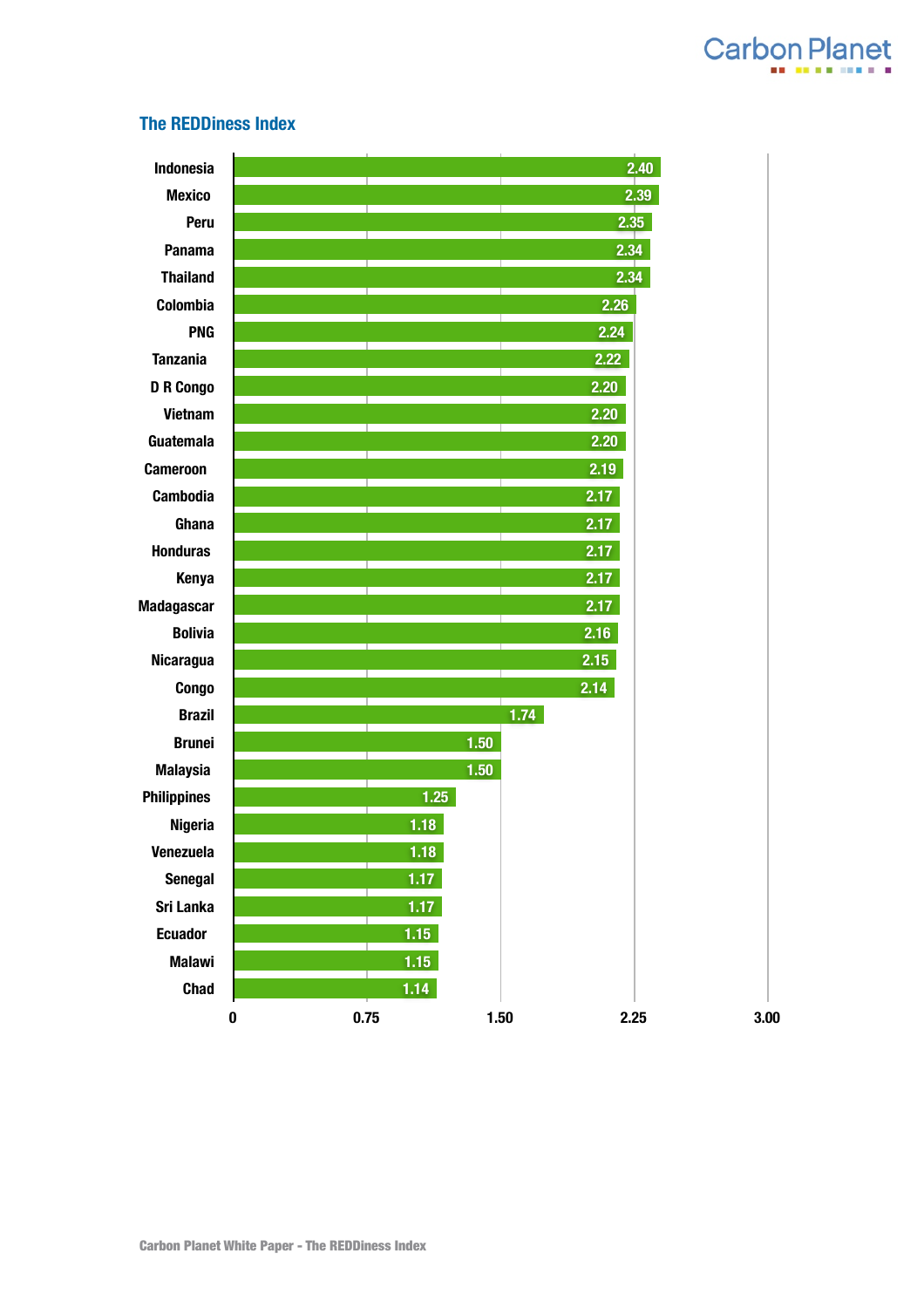

#### <span id="page-5-0"></span>**The REDDiness Index**

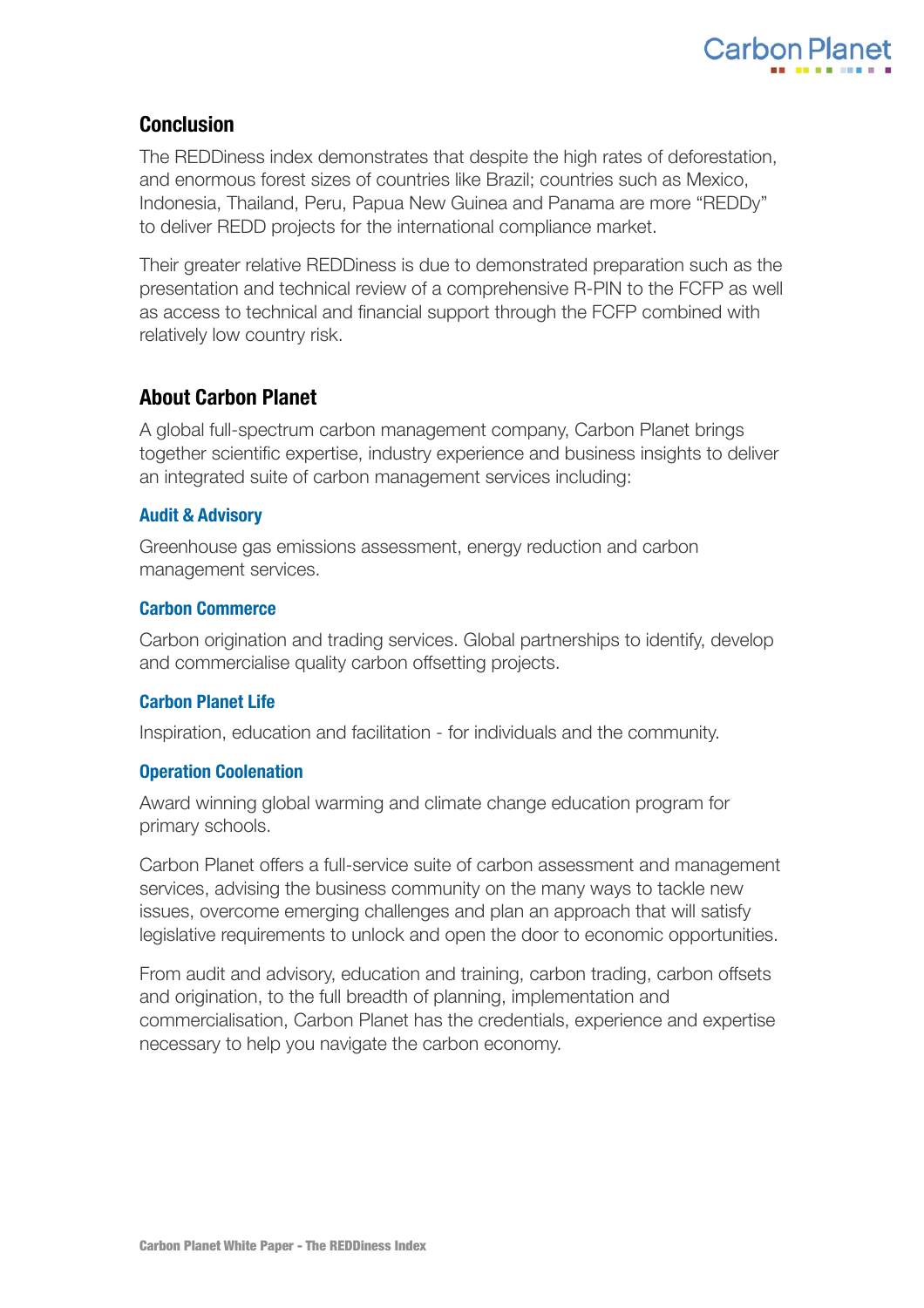

## <span id="page-6-0"></span>**Conclusion**

The REDDiness index demonstrates that despite the high rates of deforestation, and enormous forest sizes of countries like Brazil; countries such as Mexico, Indonesia, Thailand, Peru, Papua New Guinea and Panama are more "REDDy" to deliver REDD projects for the international compliance market.

Their greater relative REDDiness is due to demonstrated preparation such as the presentation and technical review of a comprehensive R-PIN to the FCFP as well as access to technical and financial support through the FCFP combined with relatively low country risk.

## <span id="page-6-1"></span>**About Carbon Planet**

A global full-spectrum carbon management company, Carbon Planet brings together scientific expertise, industry experience and business insights to deliver an integrated suite of carbon management services including:

## <span id="page-6-2"></span>**Audit & Advisory**

Greenhouse gas emissions assessment, energy reduction and carbon management services.

## <span id="page-6-3"></span>**Carbon Commerce**

Carbon origination and trading services. Global partnerships to identify, develop and commercialise quality carbon offsetting projects.

## <span id="page-6-4"></span>**Carbon Planet Life**

Inspiration, education and facilitation - for individuals and the community.

#### <span id="page-6-5"></span>**Operation Coolenation**

Award winning global warming and climate change education program for primary schools.

Carbon Planet offers a full-service suite of carbon assessment and management services, advising the business community on the many ways to tackle new issues, overcome emerging challenges and plan an approach that will satisfy legislative requirements to unlock and open the door to economic opportunities.

From audit and advisory, education and training, carbon trading, carbon offsets and origination, to the full breadth of planning, implementation and commercialisation, Carbon Planet has the credentials, experience and expertise necessary to help you navigate the carbon economy.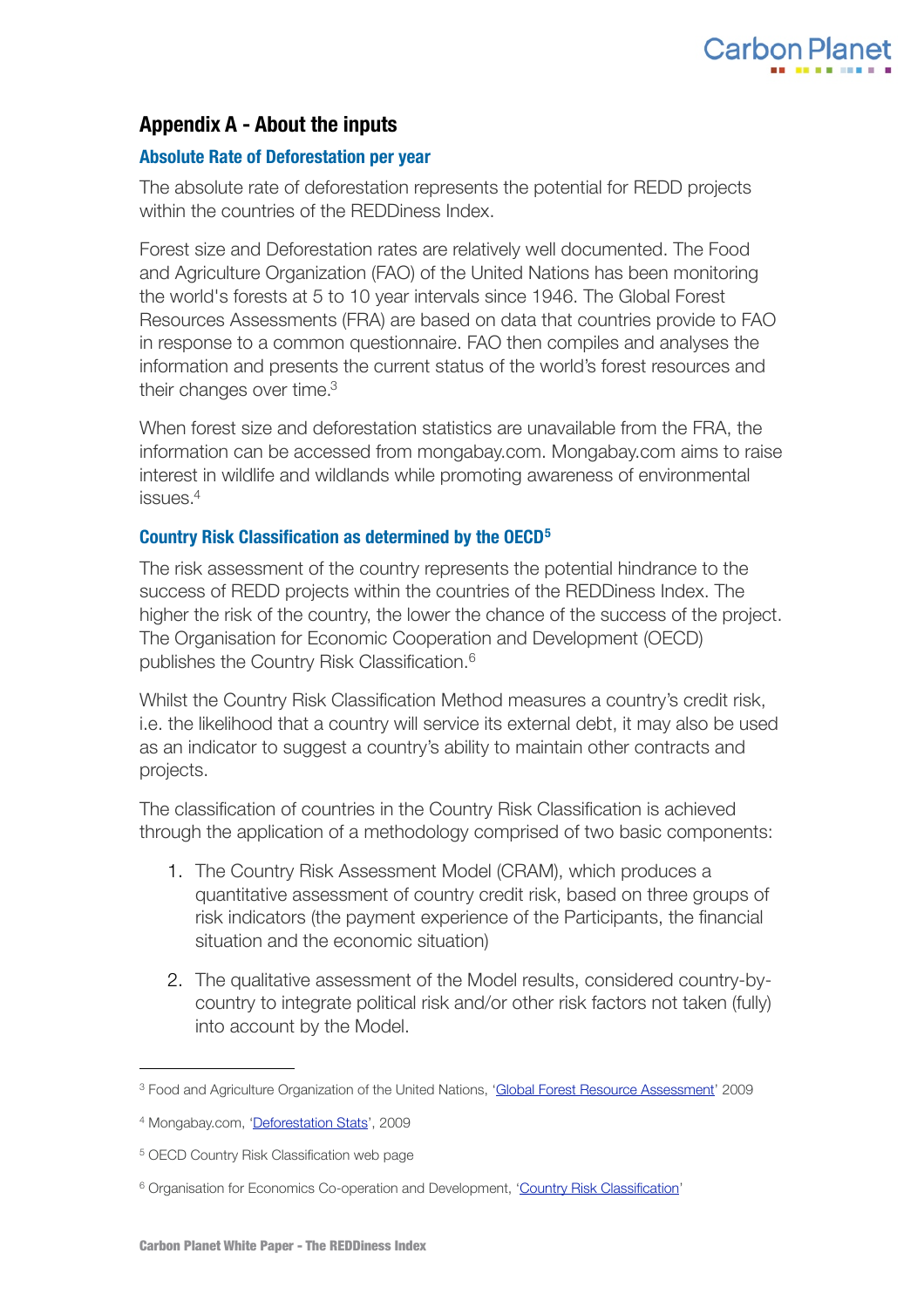

## <span id="page-7-0"></span>**Appendix A - About the inputs**

## <span id="page-7-1"></span>**Absolute Rate of Deforestation per year**

The absolute rate of deforestation represents the potential for REDD projects within the countries of the REDDiness Index.

Forest size and Deforestation rates are relatively well documented. The Food and Agriculture Organization (FAO) of the United Nations has been monitoring the world's forests at 5 to 10 year intervals since 1946. The Global Forest Resources Assessments (FRA) are based on data that countries provide to FAO in response to a common questionnaire. FAO then compiles and analyses the information and presents the current status of the world's forest resources and their changes over time[.3](#page-7-3)

When forest size and deforestation statistics are unavailable from the FRA, the information can be accessed from mongabay.com. Mongabay.com aims to raise interest in wildlife and wildlands while promoting awareness of environmental issues[.4](#page-7-4)

#### <span id="page-7-2"></span>**Country Risk Classification as determined by the OECD[5](#page-7-5)**

The risk assessment of the country represents the potential hindrance to the success of REDD projects within the countries of the REDDiness Index. The higher the risk of the country, the lower the chance of the success of the project. The Organisation for Economic Cooperation and Development (OECD) publishes the Country Risk Classification.[6](#page-7-6)

Whilst the Country Risk Classification Method measures a country's credit risk, i.e. the likelihood that a country will service its external debt, it may also be used as an indicator to suggest a country's ability to maintain other contracts and projects.

The classification of countries in the Country Risk Classification is achieved through the application of a methodology comprised of two basic components:

- 1. The Country Risk Assessment Model (CRAM), which produces a quantitative assessment of country credit risk, based on three groups of risk indicators (the payment experience of the Participants, the financial situation and the economic situation)
- 2. The qualitative assessment of the Model results, considered country-bycountry to integrate political risk and/or other risk factors not taken (fully) into account by the Model.

<span id="page-7-3"></span><sup>&</sup>lt;sup>3</sup> Food and Agriculture Organization of the United Nations, ['Global Forest Resource Assessment](http://www.fao.org/forestry/1191/en/)' 2009

<span id="page-7-4"></span><sup>4</sup> Mongabay.com, ['Deforestation Stats'](http://rainforests.mongabay.com/defor_index.htm), 2009

<span id="page-7-5"></span><sup>5</sup> [OECD Country Risk Classification](http://www.oecd.org/document/49/0,2340,en_2649_34171_1901105_1_1_1_1,00.html) web page

<span id="page-7-6"></span><sup>&</sup>lt;sup>6</sup> Organisation for Economics Co-operation and Development, '[Country Risk Classification](http://www.oecd.org/document/49/0,2340,en_2649_34171_1901105_1_1_1_1,00.html)'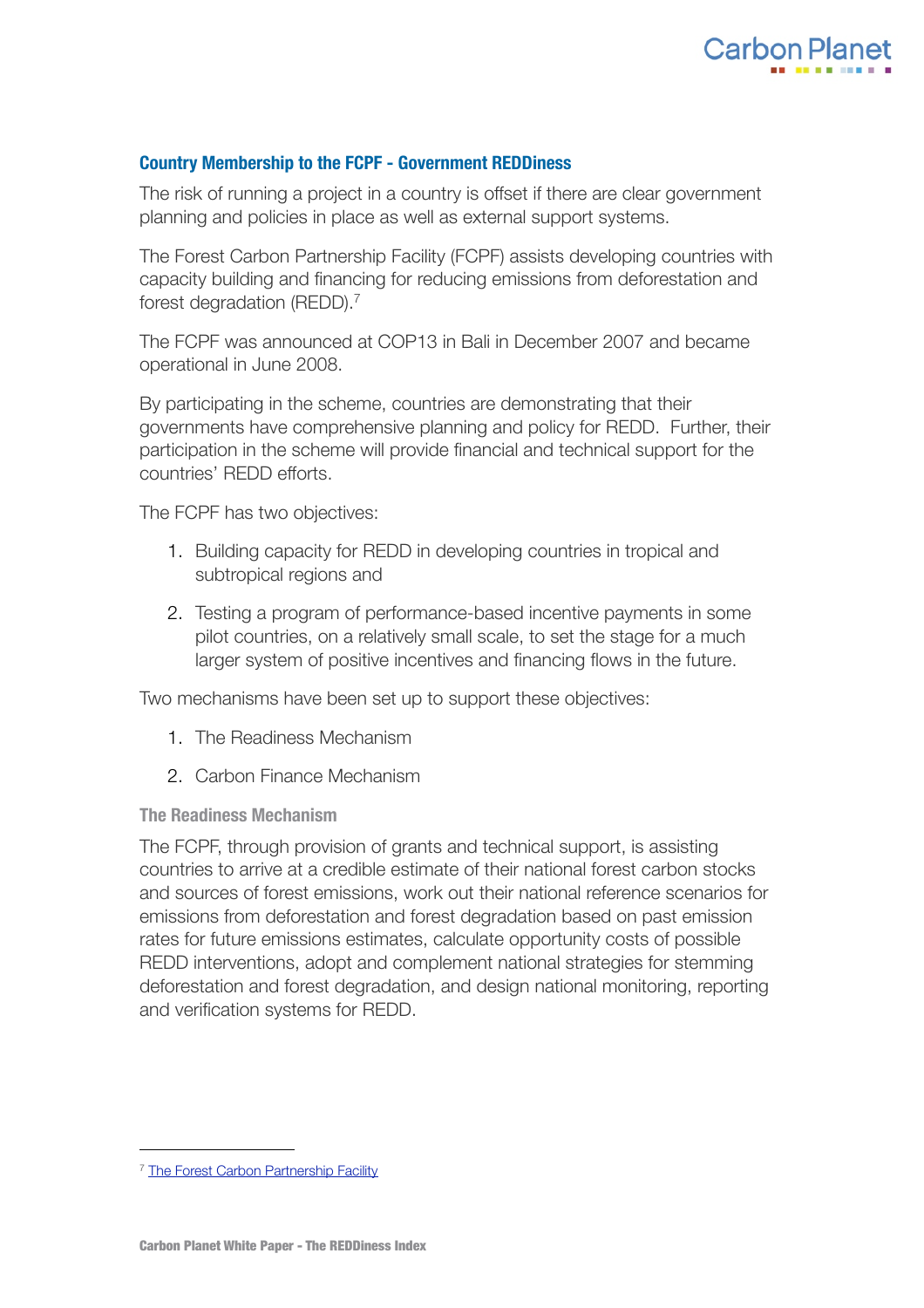

## <span id="page-8-0"></span>**Country Membership to the FCPF - Government REDDiness**

The risk of running a project in a country is offset if there are clear government planning and policies in place as well as external support systems.

The Forest Carbon Partnership Facility (FCPF) assists developing countries with capacity building and financing for reducing emissions from deforestation and forest degradation (REDD).[7](#page-8-1)

The FCPF was announced at COP13 in Bali in December 2007 and became operational in June 2008.

By participating in the scheme, countries are demonstrating that their governments have comprehensive planning and policy for REDD. Further, their participation in the scheme will provide financial and technical support for the countries' REDD efforts.

The FCPF has two objectives:

- 1. Building capacity for REDD in developing countries in tropical and subtropical regions and
- 2. Testing a program of performance-based incentive payments in some pilot countries, on a relatively small scale, to set the stage for a much larger system of positive incentives and financing flows in the future.

Two mechanisms have been set up to support these objectives:

- 1. The Readiness Mechanism
- 2. Carbon Finance Mechanism

**The Readiness Mechanism**

The FCPF, through provision of grants and technical support, is assisting countries to arrive at a credible estimate of their national forest carbon stocks and sources of forest emissions, work out their national reference scenarios for emissions from deforestation and forest degradation based on past emission rates for future emissions estimates, calculate opportunity costs of possible REDD interventions, adopt and complement national strategies for stemming deforestation and forest degradation, and design national monitoring, reporting and verification systems for REDD.

<span id="page-8-1"></span><sup>&</sup>lt;sup>7</sup> [The Forest Carbon Partnership Facility](http://www.forestcarbonpartnership.org/fcp/node/17)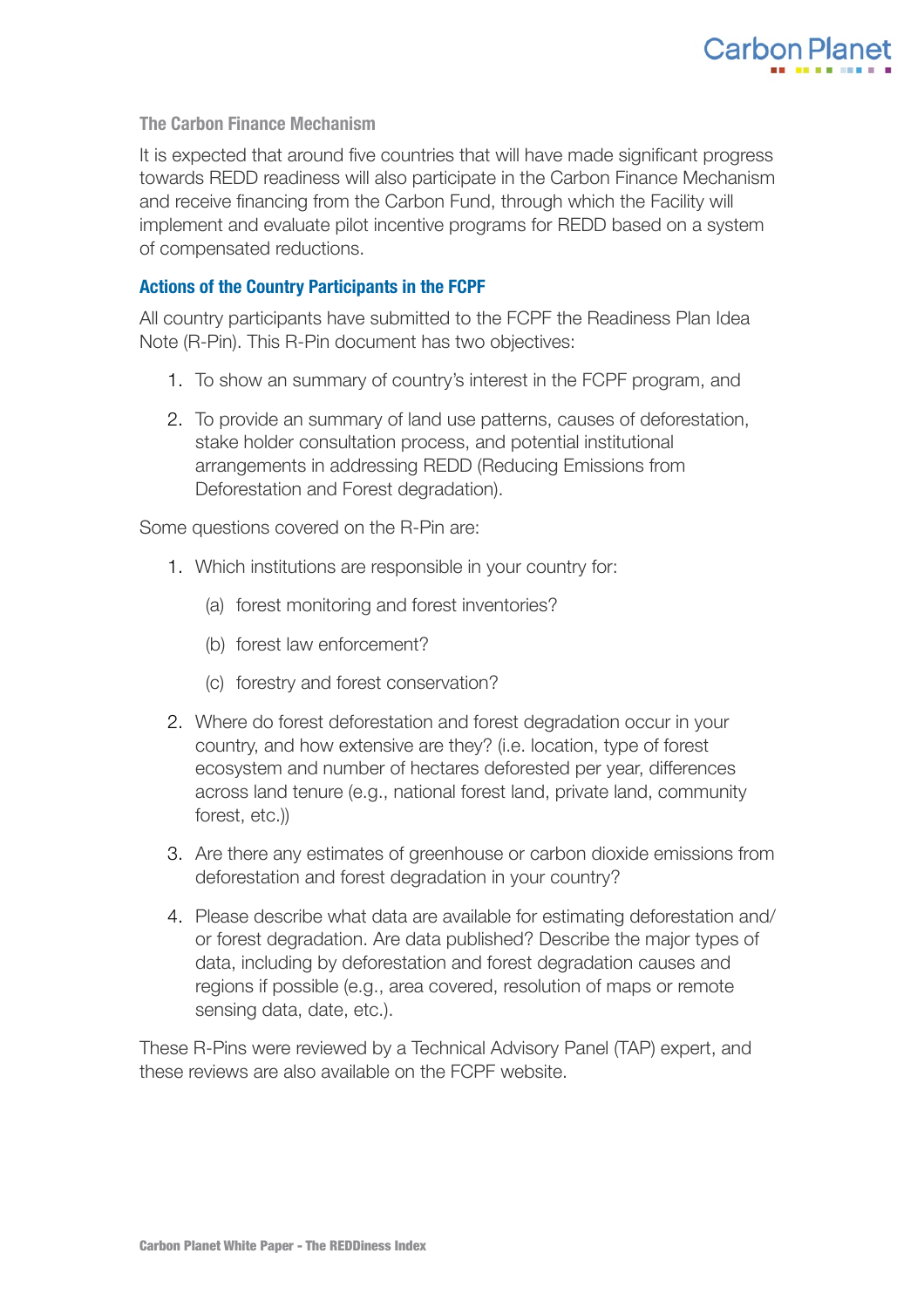

## **The Carbon Finance Mechanism**

It is expected that around five countries that will have made significant progress towards REDD readiness will also participate in the Carbon Finance Mechanism and receive financing from the Carbon Fund, through which the Facility will implement and evaluate pilot incentive programs for REDD based on a system of compensated reductions.

### <span id="page-9-0"></span>**Actions of the Country Participants in the FCPF**

All country participants have submitted to the FCPF the Readiness Plan Idea Note (R-Pin). This R-Pin document has two objectives:

- 1. To show an summary of country's interest in the FCPF program, and
- 2. To provide an summary of land use patterns, causes of deforestation, stake holder consultation process, and potential institutional arrangements in addressing REDD (Reducing Emissions from Deforestation and Forest degradation).

Some questions covered on the R-Pin are:

- 1. Which institutions are responsible in your country for:
	- (a) forest monitoring and forest inventories?
	- (b) forest law enforcement?
	- (c) forestry and forest conservation?
- 2. Where do forest deforestation and forest degradation occur in your country, and how extensive are they? (i.e. location, type of forest ecosystem and number of hectares deforested per year, differences across land tenure (e.g., national forest land, private land, community forest, etc.))
- 3. Are there any estimates of greenhouse or carbon dioxide emissions from deforestation and forest degradation in your country?
- 4. Please describe what data are available for estimating deforestation and/ or forest degradation. Are data published? Describe the major types of data, including by deforestation and forest degradation causes and regions if possible (e.g., area covered, resolution of maps or remote sensing data, date, etc.).

These R-Pins were reviewed by a Technical Advisory Panel (TAP) expert, and these reviews are also available on the FCPF website.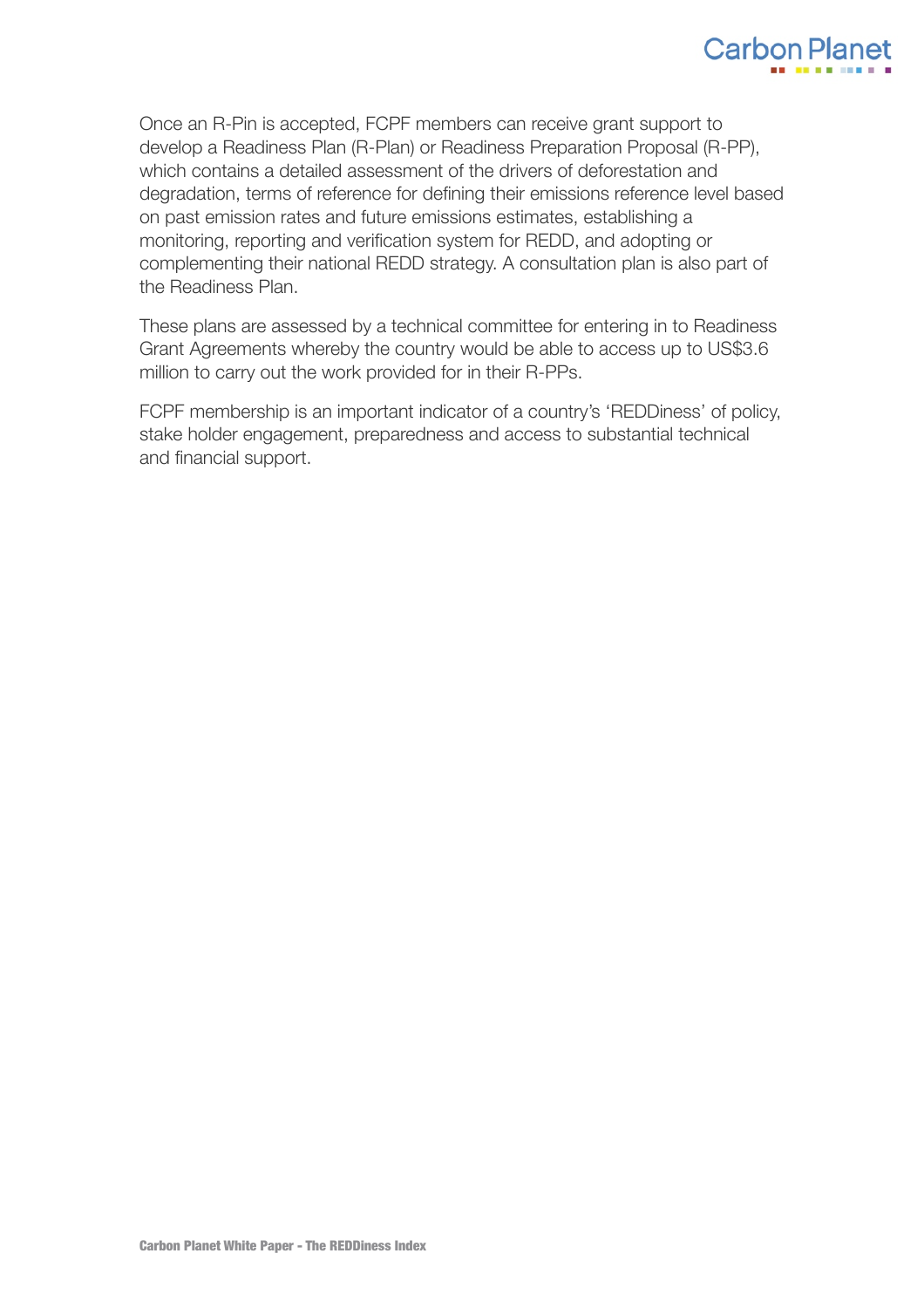

Once an R-Pin is accepted, FCPF members can receive grant support to develop a Readiness Plan (R-Plan) or Readiness Preparation Proposal (R-PP), which contains a detailed assessment of the drivers of deforestation and degradation, terms of reference for defining their emissions reference level based on past emission rates and future emissions estimates, establishing a monitoring, reporting and verification system for REDD, and adopting or complementing their national REDD strategy. A consultation plan is also part of the Readiness Plan.

These plans are assessed by a technical committee for entering in to Readiness Grant Agreements whereby the country would be able to access up to US\$3.6 million to carry out the work provided for in their R-PPs.

FCPF membership is an important indicator of a country's 'REDDiness' of policy, stake holder engagement, preparedness and access to substantial technical and financial support.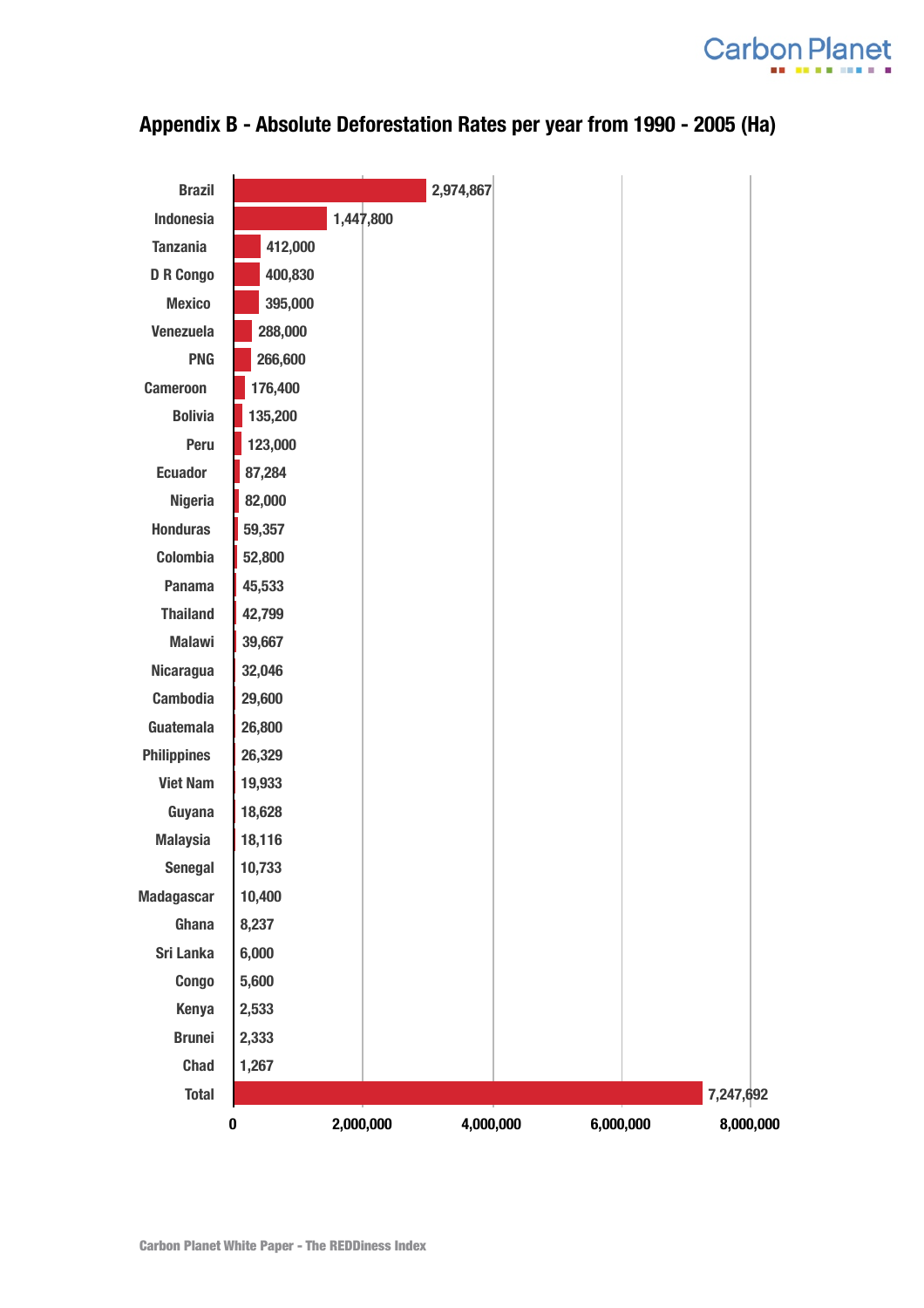



<span id="page-11-0"></span>